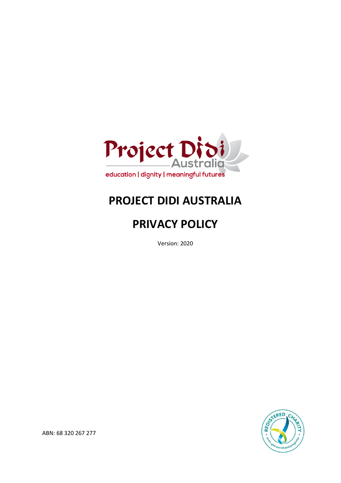

# **PROJECT DIDI AUSTRALIA**

# **PRIVACY POLICY**

Version: 2020



ABN: 68 320 267 277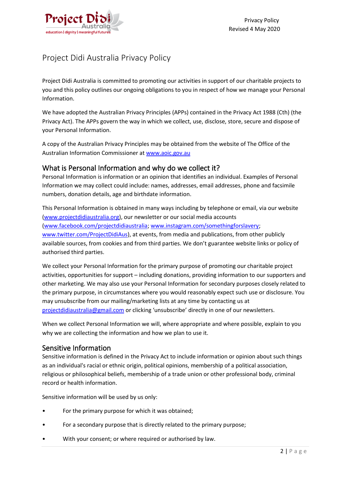

# Project Didi Australia Privacy Policy

Project Didi Australia is committed to promoting our activities in support of our charitable projects to you and this policy outlines our ongoing obligations to you in respect of how we manage your Personal Information.

We have adopted the Australian Privacy Principles (APPs) contained in the Privacy Act 1988 (Cth) (the Privacy Act). The APPs govern the way in which we collect, use, disclose, store, secure and dispose of your Personal Information.

A copy of the Australian Privacy Principles may be obtained from the website of The Office of the Australian Information Commissioner at [www.aoic.gov.au](http://www.aoic.gov.au/)

#### What is Personal Information and why do we collect it?

Personal Information is information or an opinion that identifies an individual. Examples of Personal Information we may collect could include: names, addresses, email addresses, phone and facsimile numbers, donation details, age and birthdate information.

This Personal Information is obtained in many ways including by telephone or email, via our website [\(www.projectdidiaustralia.org\)](http://www.projectdidiaustralia.org/), our newsletter or our social media accounts [\(www.facebook.com/projectdidiaustralia;](http://www.facebook.com/projectdidiaustralia) [www.instagram.com/somethingforslavery;](http://www.instagram.com/somethingforslavery) [www.twitter.com/ProjectDidiAus\)](http://www.twitter.com/ProjectDidiAus), at events, from media and publications, from other publicly available sources, from cookies and from third parties. We don't guarantee website links or policy of authorised third parties.

We collect your Personal Information for the primary purpose of promoting our charitable project activities, opportunities for support – including donations, providing information to our supporters and other marketing. We may also use your Personal Information for secondary purposes closely related to the primary purpose, in circumstances where you would reasonably expect such use or disclosure. You may unsubscribe from our mailing/marketing lists at any time by contacting us at [projectdidiaustralia@gmail.com](mailto:projectdidiaustralia@gmail.com) or clicking 'unsubscribe' directly in one of our newsletters.

When we collect Personal Information we will, where appropriate and where possible, explain to you why we are collecting the information and how we plan to use it.

#### Sensitive Information

Sensitive information is defined in the Privacy Act to include information or opinion about such things as an individual's racial or ethnic origin, political opinions, membership of a political association, religious or philosophical beliefs, membership of a trade union or other professional body, criminal record or health information.

Sensitive information will be used by us only:

- For the primary purpose for which it was obtained;
- For a secondary purpose that is directly related to the primary purpose;
- With your consent; or where required or authorised by law.